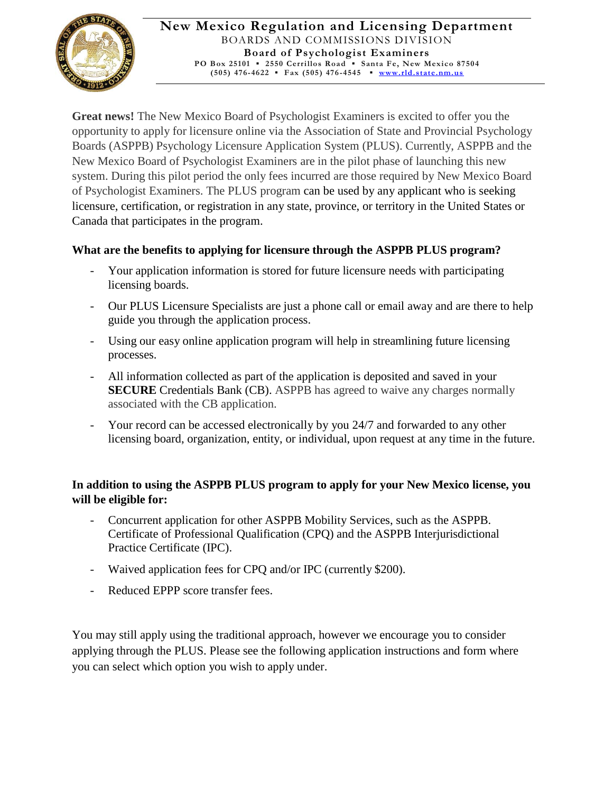

**Great news!** The New Mexico Board of Psychologist Examiners is excited to offer you the opportunity to apply for licensure online via the Association of State and Provincial Psychology Boards (ASPPB) Psychology Licensure Application System (PLUS). Currently, ASPPB and the New Mexico Board of Psychologist Examiners are in the pilot phase of launching this new system. During this pilot period the only fees incurred are those required by New Mexico Board of Psychologist Examiners. The PLUS program can be used by any applicant who is seeking licensure, certification, or registration in any state, province, or territory in the United States or Canada that participates in the program.

## **What are the benefits to applying for licensure through the ASPPB PLUS program?**

- Your application information is stored for future licensure needs with participating licensing boards.
- Our PLUS Licensure Specialists are just a phone call or email away and are there to help guide you through the application process.
- Using our easy online application program will help in streamlining future licensing processes.
- All information collected as part of the application is deposited and saved in your **SECURE** Credentials Bank (CB). ASPPB has agreed to waive any charges normally associated with the CB application.
- Your record can be accessed electronically by you 24/7 and forwarded to any other licensing board, organization, entity, or individual, upon request at any time in the future.

## **In addition to using the ASPPB PLUS program to apply for your New Mexico license, you will be eligible for:**

- Concurrent application for other ASPPB Mobility Services, such as the ASPPB. Certificate of Professional Qualification (CPQ) and the ASPPB Interjurisdictional Practice Certificate (IPC).
- Waived application fees for CPQ and/or IPC (currently \$200).
- Reduced EPPP score transfer fees.

You may still apply using the traditional approach, however we encourage you to consider applying through the PLUS. Please see the following application instructions and form where you can select which option you wish to apply under.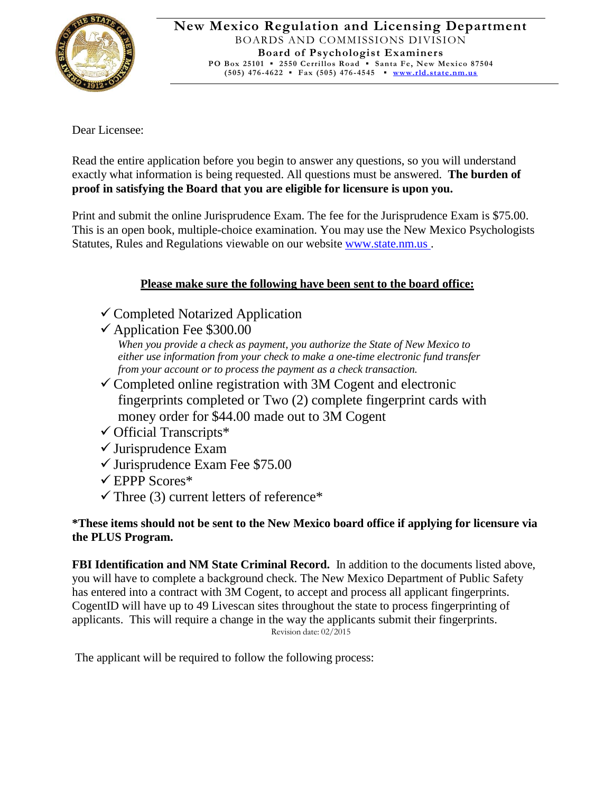

Dear Licensee:

Read the entire application before you begin to answer any questions, so you will understand exactly what information is being requested. All questions must be answered. **The burden of proof in satisfying the Board that you are eligible for licensure is upon you.**

Print and submit the online Jurisprudence Exam. The fee for the Jurisprudence Exam is \$75.00. This is an open book, multiple-choice examination. You may use the New Mexico Psychologists Statutes, Rules and Regulations viewable on our websit[e www.state.nm.us](http://www.state.nm.us/) .

# **Please make sure the following have been sent to the board office:**

- $\checkmark$  Completed Notarized Application
- $\checkmark$  Application Fee \$300.00

*When you provide a check as payment, you authorize the State of New Mexico to either use information from your check to make a one-time electronic fund transfer from your account or to process the payment as a check transaction.*

- $\checkmark$  Completed online registration with 3M Cogent and electronic fingerprints completed or Two (2) complete fingerprint cards with money order for \$44.00 made out to 3M Cogent
- $\checkmark$  Official Transcripts\*
- $\checkmark$  Jurisprudence Exam
- $\checkmark$  Jurisprudence Exam Fee \$75.00
- $\checkmark$  EPPP Scores\*
- $\checkmark$  Three (3) current letters of reference\*

## **\*These items should not be sent to the New Mexico board office if applying for licensure via the PLUS Program.**

**FBI Identification and NM State Criminal Record.** In addition to the documents listed above, you will have to complete a background check. The New Mexico Department of Public Safety has entered into a contract with 3M Cogent, to accept and process all applicant fingerprints. CogentID will have up to 49 Livescan sites throughout the state to process fingerprinting of applicants. This will require a change in the way the applicants submit their fingerprints. Revision date: 02/2015

The applicant will be required to follow the following process: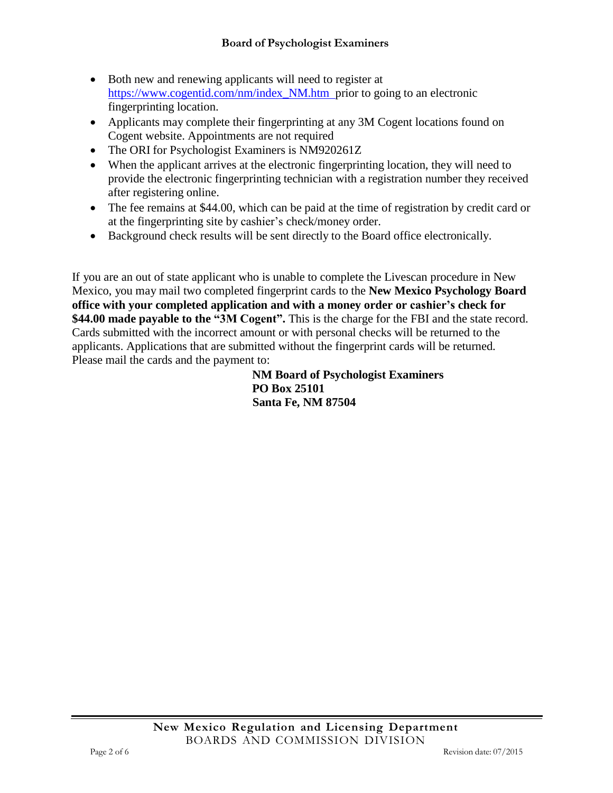- Both new and renewing applicants will need to register at [https://www.cogentid.com/nm/index\\_NM.htm](https://www.cogentid.com/nm/index_NM.htm) prior to going to an electronic fingerprinting location.
- Applicants may complete their fingerprinting at any 3M Cogent locations found on Cogent website. Appointments are not required
- The ORI for Psychologist Examiners is NM920261Z
- When the applicant arrives at the electronic fingerprinting location, they will need to provide the electronic fingerprinting technician with a registration number they received after registering online.
- The fee remains at \$44.00, which can be paid at the time of registration by credit card or at the fingerprinting site by cashier's check/money order.
- Background check results will be sent directly to the Board office electronically.

If you are an out of state applicant who is unable to complete the Livescan procedure in New Mexico, you may mail two completed fingerprint cards to the **New Mexico Psychology Board office with your completed application and with a money order or cashier's check for \$44.00 made payable to the "3M Cogent".** This is the charge for the FBI and the state record. Cards submitted with the incorrect amount or with personal checks will be returned to the applicants. Applications that are submitted without the fingerprint cards will be returned. Please mail the cards and the payment to:

**NM Board of Psychologist Examiners PO Box 25101 Santa Fe, NM 87504**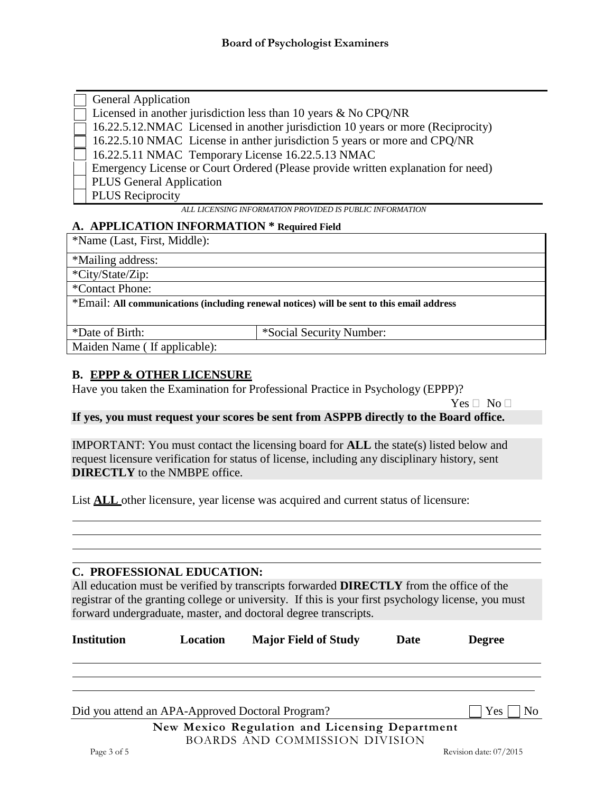| General Application |
|---------------------|
|                     |

Licensed in another jurisdiction less than 10 years & No CPQ/NR

16.22.5.12.NMAC Licensed in another jurisdiction 10 years or more (Reciprocity)

16.22.5.10 NMAC License in anther jurisdiction 5 years or more and CPQ/NR

16.22.5.11 NMAC Temporary License 16.22.5.13 NMAC

Emergency License or Court Ordered (Please provide written explanation for need)

PLUS General Application

PLUS Reciprocity

**ALL LICENSING INFORMATION PROVIDED IS PUBLIC INFORMATION** 

#### **A. APPLICATION INFORMATION \* Required Field**

\*Name (Last, First, Middle):

\*Mailing address:

\*City/State/Zip:

\*Contact Phone:

\*Email: **All communications (including renewal notices) will be sent to this email address**

\*Date of Birth: \*Social Security Number:

Maiden Name ( If applicable):

## **B. EPPP & OTHER LICENSURE**

Have you taken the Examination for Professional Practice in Psychology (EPPP)?

 $Yes \sqcap No \sqcap$ 

**If yes, you must request your scores be sent from ASPPB directly to the Board office.**

IMPORTANT: You must contact the licensing board for **ALL** the state(s) listed below and request licensure verification for status of license, including any disciplinary history, sent **DIRECTLY** to the NMBPE office.

List **ALL** other licensure, year license was acquired and current status of licensure:

#### **C. PROFESSIONAL EDUCATION:**

All education must be verified by transcripts forwarded **DIRECTLY** from the office of the registrar of the granting college or university. If this is your first psychology license, you must forward undergraduate, master, and doctoral degree transcripts.

| <b>Institution</b> | Location | <b>Major Field of Study</b>                      | Date | <b>Degree</b>         |
|--------------------|----------|--------------------------------------------------|------|-----------------------|
|                    |          |                                                  |      |                       |
|                    |          | Did you attend an APA-Approved Doctoral Program? |      | Yes<br>N <sub>0</sub> |
|                    |          | New Mexico Regulation and Licensing Department   |      |                       |

BOARDS AND COMMISSION DIVISION